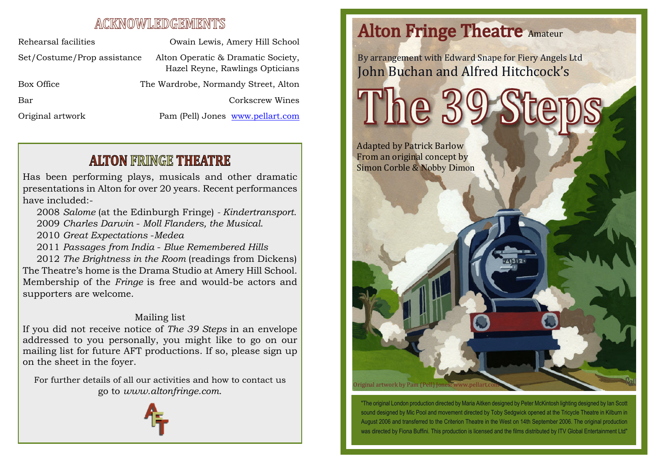### **ACKNOWLEDGEMENTS**

| Rehearsal facilities        | Owain Lewis, Amery Hill School                                        |
|-----------------------------|-----------------------------------------------------------------------|
| Set/Costume/Prop assistance | Alton Operatic & Dramatic Society,<br>Hazel Reyne, Rawlings Opticians |
| Box Office                  | The Wardrobe, Normandy Street, Alton                                  |
| Bar                         | Corkscrew Wines                                                       |
| Original artwork            | Pam (Pell) Jones www.pellart.com                                      |

## **ALTON FRINGE THEATRE**

Has been performing plays, musicals and other dramatic presentations in Alton for over 20 years. Recent performances have included:-

- 2008 *Salome* (at the Edinburgh Fringe)  *Kindertransport*.
- 2009 *Charles Darwin Moll Flanders, the Musical*.
- 2010 *Great Expectations* -*Medea*
- 2011 *Passages from India* - *Blue Remembered Hills*

 2012 *The Brightness in the Room* (readings from Dickens) The Theatre's home is the Drama Studio at Amery Hill School. Membership of the *Fringe* is free and would-be actors and supporters are welcome.

#### Mailing list

If you did not receive notice of *The 39 Steps* in an envelope addressed to you personally, you might like to go on our mailing list for future AFT productions. If so, please sign up on the sheet in the foyer.

For further details of all our activities and how to contact us go to *www.altonfringe.com*.



# **Alton Fringe Theatre Amateur**

By arrangement with Edward Snape for Fiery Angels Ltd John Buchan and Alfred Hitchcock's

Adapted by Patrick Barlow From an original concept by Simon Corble & Nobby Dimon

Original artwork by Pam (Pell) Jones: www.pellart

**The 39 Steps**

"The original London production directed by Maria Aitken designed by Peter McKintosh lighting designed by Ian Scott sound designed by Mic Pool and movement directed by Toby Sedgwick opened at the Tricycle Theatre in Kilburn in August 2006 and transferred to the Criterion Theatre in the West on 14th September 2006. The original production was directed by Fiona Buffini. This production is licensed and the films distributed by ITV Global Entertainment Ltd"